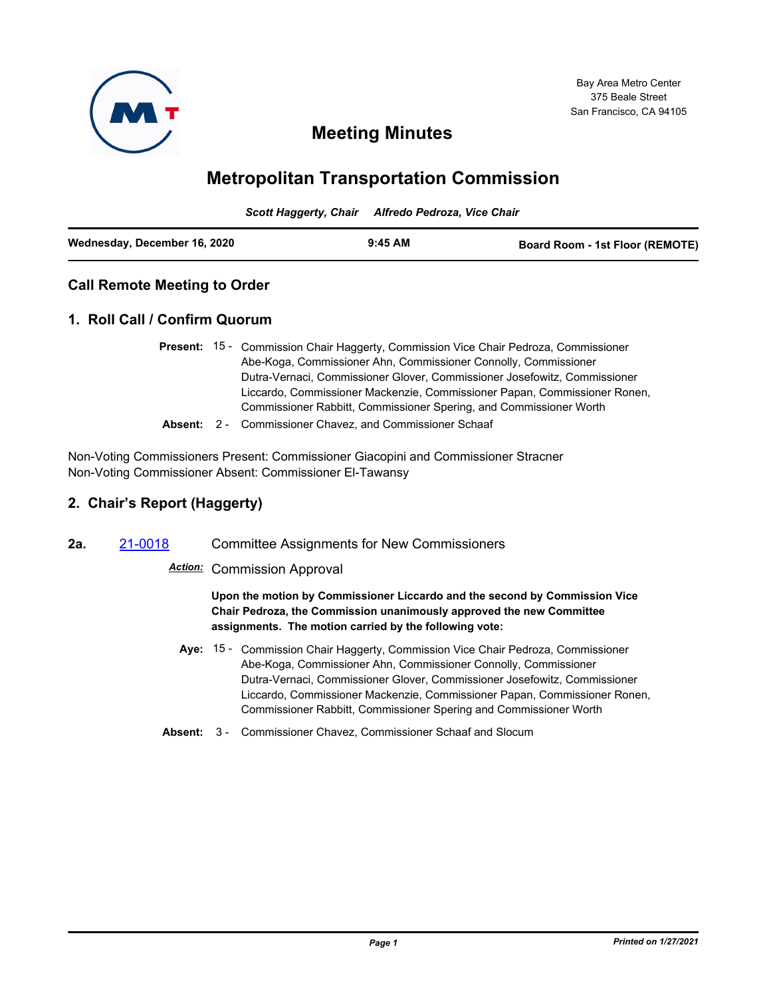

# **Meeting Minutes**

# **Metropolitan Transportation Commission**

*Scott Haggerty, Chair Alfredo Pedroza, Vice Chair*

| Wednesday, December 16, 2020 | $9:45$ AM | <b>Board Room - 1st Floor (REMOTE)</b> |
|------------------------------|-----------|----------------------------------------|
|                              |           |                                        |

## **Call Remote Meeting to Order**

## **1. Roll Call / Confirm Quorum**

- Present: 15 Commission Chair Haggerty, Commission Vice Chair Pedroza, Commissioner Abe-Koga, Commissioner Ahn, Commissioner Connolly, Commissioner Dutra-Vernaci, Commissioner Glover, Commissioner Josefowitz, Commissioner Liccardo, Commissioner Mackenzie, Commissioner Papan, Commissioner Ronen, Commissioner Rabbitt, Commissioner Spering, and Commissioner Worth
- **Absent:** 2 Commissioner Chavez, and Commissioner Schaaf

Non-Voting Commissioners Present: Commissioner Giacopini and Commissioner Stracner Non-Voting Commissioner Absent: Commissioner El-Tawansy

# **2. Chair's Report (Haggerty)**

**2a.** [21-0018](http://mtc.legistar.com/gateway.aspx?m=l&id=/matter.aspx?key=21611) Committee Assignments for New Commissioners

## *Action:* Commission Approval

**Upon the motion by Commissioner Liccardo and the second by Commission Vice Chair Pedroza, the Commission unanimously approved the new Committee assignments. The motion carried by the following vote:**

- Aye: 15 Commission Chair Haggerty, Commission Vice Chair Pedroza, Commissioner Abe-Koga, Commissioner Ahn, Commissioner Connolly, Commissioner Dutra-Vernaci, Commissioner Glover, Commissioner Josefowitz, Commissioner Liccardo, Commissioner Mackenzie, Commissioner Papan, Commissioner Ronen, Commissioner Rabbitt, Commissioner Spering and Commissioner Worth
- **Absent:** 3 Commissioner Chavez, Commissioner Schaaf and Slocum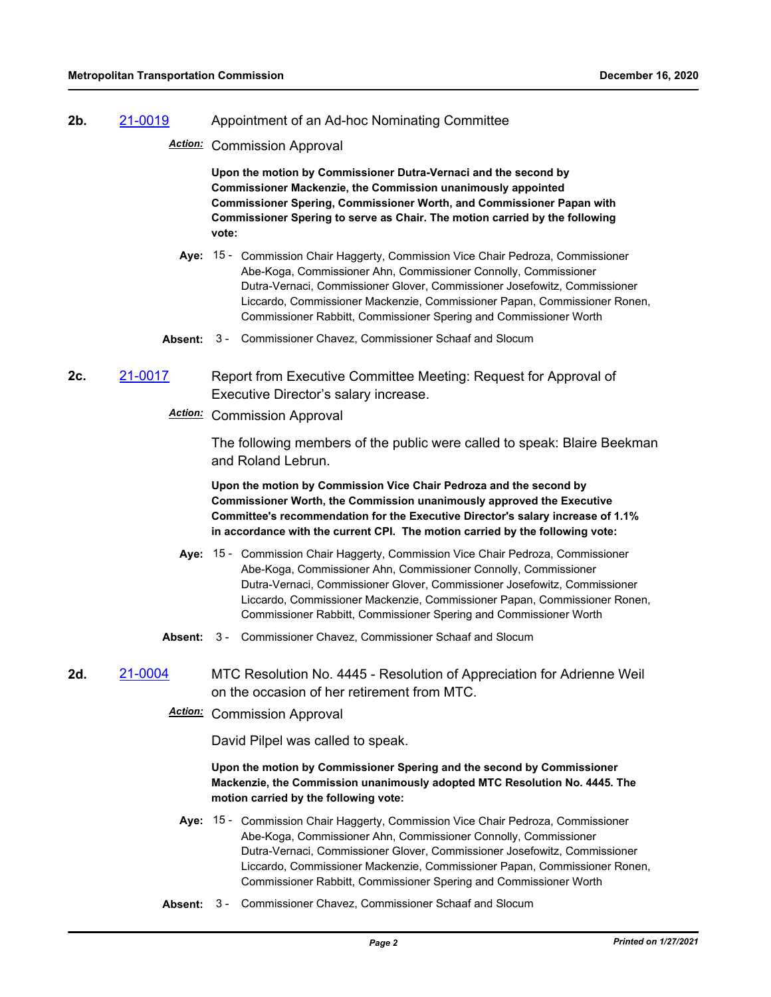#### **2b.** [21-0019](http://mtc.legistar.com/gateway.aspx?m=l&id=/matter.aspx?key=21612) Appointment of an Ad-hoc Nominating Committee

*Action:* Commission Approval

**Upon the motion by Commissioner Dutra-Vernaci and the second by Commissioner Mackenzie, the Commission unanimously appointed Commissioner Spering, Commissioner Worth, and Commissioner Papan with Commissioner Spering to serve as Chair. The motion carried by the following vote:**

- Aye: 15 Commission Chair Haggerty, Commission Vice Chair Pedroza, Commissioner Abe-Koga, Commissioner Ahn, Commissioner Connolly, Commissioner Dutra-Vernaci, Commissioner Glover, Commissioner Josefowitz, Commissioner Liccardo, Commissioner Mackenzie, Commissioner Papan, Commissioner Ronen, Commissioner Rabbitt, Commissioner Spering and Commissioner Worth
- **Absent:** 3 Commissioner Chavez, Commissioner Schaaf and Slocum
- **2c.** [21-0017](http://mtc.legistar.com/gateway.aspx?m=l&id=/matter.aspx?key=21610) Report from Executive Committee Meeting: Request for Approval of Executive Director's salary increase.
	- *Action:* Commission Approval

The following members of the public were called to speak: Blaire Beekman and Roland Lebrun.

**Upon the motion by Commission Vice Chair Pedroza and the second by Commissioner Worth, the Commission unanimously approved the Executive Committee's recommendation for the Executive Director's salary increase of 1.1% in accordance with the current CPI. The motion carried by the following vote:**

- Aye: 15 Commission Chair Haggerty, Commission Vice Chair Pedroza, Commissioner Abe-Koga, Commissioner Ahn, Commissioner Connolly, Commissioner Dutra-Vernaci, Commissioner Glover, Commissioner Josefowitz, Commissioner Liccardo, Commissioner Mackenzie, Commissioner Papan, Commissioner Ronen, Commissioner Rabbitt, Commissioner Spering and Commissioner Worth
- **Absent:** 3 Commissioner Chavez, Commissioner Schaaf and Slocum

#### **2d.** [21-0004](http://mtc.legistar.com/gateway.aspx?m=l&id=/matter.aspx?key=21597) MTC Resolution No. 4445 - Resolution of Appreciation for Adrienne Weil on the occasion of her retirement from MTC.

*Action:* Commission Approval

David Pilpel was called to speak.

**Upon the motion by Commissioner Spering and the second by Commissioner Mackenzie, the Commission unanimously adopted MTC Resolution No. 4445. The motion carried by the following vote:**

- Aye: 15 Commission Chair Haggerty, Commission Vice Chair Pedroza, Commissioner Abe-Koga, Commissioner Ahn, Commissioner Connolly, Commissioner Dutra-Vernaci, Commissioner Glover, Commissioner Josefowitz, Commissioner Liccardo, Commissioner Mackenzie, Commissioner Papan, Commissioner Ronen, Commissioner Rabbitt, Commissioner Spering and Commissioner Worth
- **Absent:** 3 Commissioner Chavez, Commissioner Schaaf and Slocum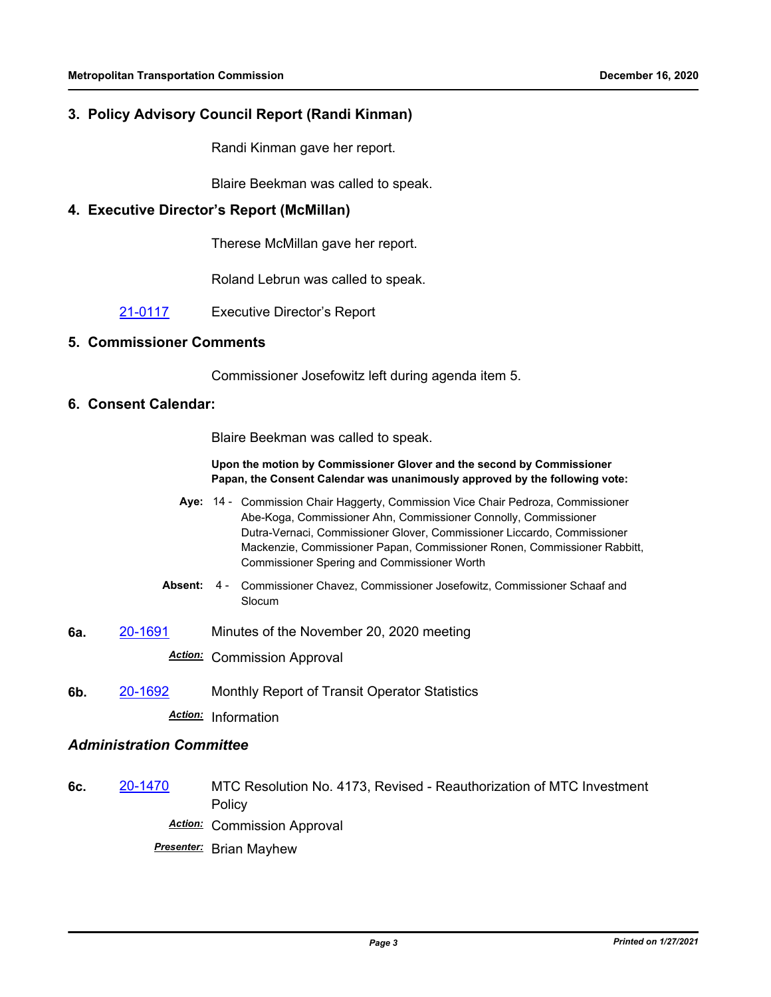## **3. Policy Advisory Council Report (Randi Kinman)**

Randi Kinman gave her report.

Blaire Beekman was called to speak.

#### **4. Executive Director's Report (McMillan)**

Therese McMillan gave her report.

Roland Lebrun was called to speak.

[21-0117](http://mtc.legistar.com/gateway.aspx?m=l&id=/matter.aspx?key=21710) Executive Director's Report

#### **5. Commissioner Comments**

Commissioner Josefowitz left during agenda item 5.

## **6. Consent Calendar:**

Blaire Beekman was called to speak.

#### **Upon the motion by Commissioner Glover and the second by Commissioner Papan, the Consent Calendar was unanimously approved by the following vote:**

- Aye: 14 Commission Chair Haggerty, Commission Vice Chair Pedroza, Commissioner Abe-Koga, Commissioner Ahn, Commissioner Connolly, Commissioner Dutra-Vernaci, Commissioner Glover, Commissioner Liccardo, Commissioner Mackenzie, Commissioner Papan, Commissioner Ronen, Commissioner Rabbitt, Commissioner Spering and Commissioner Worth
- **Absent:** Commissioner Chavez, Commissioner Josefowitz, Commissioner Schaaf and Slocum Absent: 4 -
- **6a.** [20-1691](http://mtc.legistar.com/gateway.aspx?m=l&id=/matter.aspx?key=21556) Minutes of the November 20, 2020 meeting

*Action:* Commission Approval

**6b.** [20-1692](http://mtc.legistar.com/gateway.aspx?m=l&id=/matter.aspx?key=21557) Monthly Report of Transit Operator Statistics *Action:* Information

#### *Administration Committee*

**6c.** [20-1470](http://mtc.legistar.com/gateway.aspx?m=l&id=/matter.aspx?key=21335) MTC Resolution No. 4173, Revised - Reauthorization of MTC Investment Policy *Action:* Commission Approval

*Presenter:* Brian Mayhew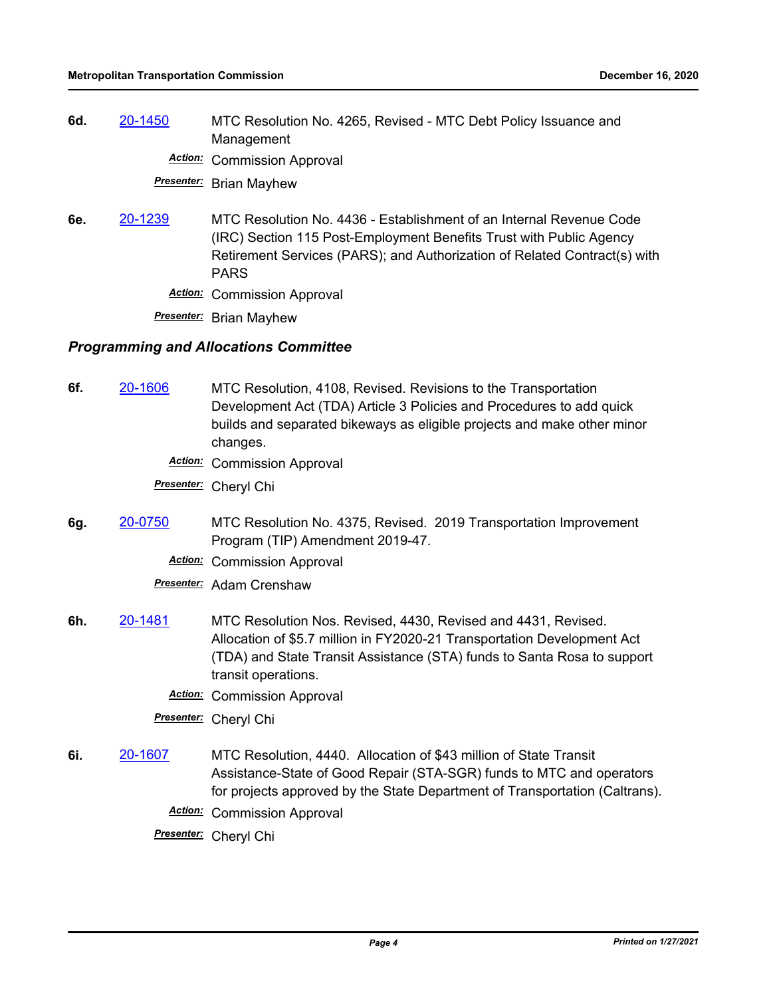**6d.** [20-1450](http://mtc.legistar.com/gateway.aspx?m=l&id=/matter.aspx?key=21315) MTC Resolution No. 4265, Revised - MTC Debt Policy Issuance and Management

*Action:* Commission Approval

*Presenter:* Brian Mayhew

- **6e.** [20-1239](http://mtc.legistar.com/gateway.aspx?m=l&id=/matter.aspx?key=21104) MTC Resolution No. 4436 Establishment of an Internal Revenue Code (IRC) Section 115 Post-Employment Benefits Trust with Public Agency Retirement Services (PARS); and Authorization of Related Contract(s) with PARS
	- *Action:* Commission Approval

*Presenter:* Brian Mayhew

#### *Programming and Allocations Committee*

- **6f.** [20-1606](http://mtc.legistar.com/gateway.aspx?m=l&id=/matter.aspx?key=21471) MTC Resolution, 4108, Revised. Revisions to the Transportation Development Act (TDA) Article 3 Policies and Procedures to add quick builds and separated bikeways as eligible projects and make other minor changes.
	- *Action:* Commission Approval

*Presenter:* Cheryl Chi

- **6g.** [20-0750](http://mtc.legistar.com/gateway.aspx?m=l&id=/matter.aspx?key=20614) MTC Resolution No. 4375, Revised. 2019 Transportation Improvement Program (TIP) Amendment 2019-47.
	- *Action:* Commission Approval

*Presenter:* Adam Crenshaw

- **6h.** [20-1481](http://mtc.legistar.com/gateway.aspx?m=l&id=/matter.aspx?key=21346) MTC Resolution Nos. Revised, 4430, Revised and 4431, Revised. Allocation of \$5.7 million in FY2020-21 Transportation Development Act (TDA) and State Transit Assistance (STA) funds to Santa Rosa to support transit operations.
	- *Action:* Commission Approval

*Presenter:* Cheryl Chi

- **6i.** [20-1607](http://mtc.legistar.com/gateway.aspx?m=l&id=/matter.aspx?key=21472) MTC Resolution, 4440. Allocation of \$43 million of State Transit Assistance-State of Good Repair (STA-SGR) funds to MTC and operators for projects approved by the State Department of Transportation (Caltrans).
	- *Action:* Commission Approval
	- *Presenter:* Cheryl Chi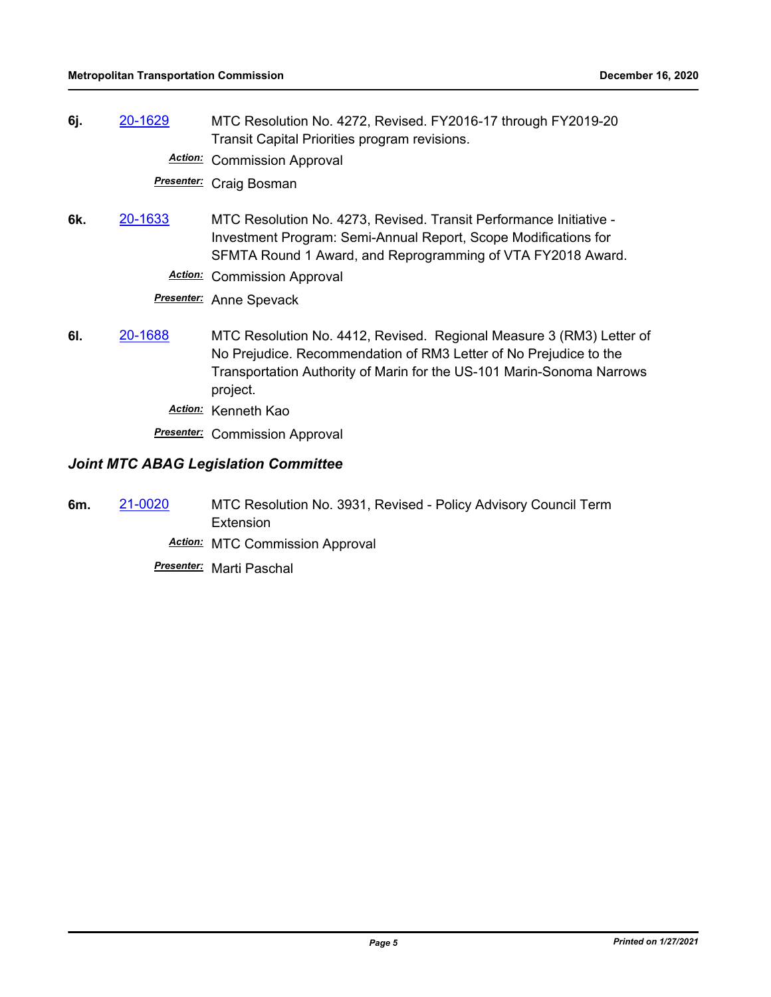**6j.** [20-1629](http://mtc.legistar.com/gateway.aspx?m=l&id=/matter.aspx?key=21494) MTC Resolution No. 4272, Revised. FY2016-17 through FY2019-20 Transit Capital Priorities program revisions.

*Action:* Commission Approval

*Presenter:* Craig Bosman

- **6k.** [20-1633](http://mtc.legistar.com/gateway.aspx?m=l&id=/matter.aspx?key=21498) MTC Resolution No. 4273, Revised. Transit Performance Initiative Investment Program: Semi-Annual Report, Scope Modifications for SFMTA Round 1 Award, and Reprogramming of VTA FY2018 Award.
	- *Action:* Commission Approval

*Presenter:* Anne Spevack

**6l.** [20-1688](http://mtc.legistar.com/gateway.aspx?m=l&id=/matter.aspx?key=21553) MTC Resolution No. 4412, Revised. Regional Measure 3 (RM3) Letter of No Prejudice. Recommendation of RM3 Letter of No Prejudice to the Transportation Authority of Marin for the US-101 Marin-Sonoma Narrows project.

*Action:* Kenneth Kao

**Presenter:** Commission Approval

## *Joint MTC ABAG Legislation Committee*

**6m.** [21-0020](http://mtc.legistar.com/gateway.aspx?m=l&id=/matter.aspx?key=21613) MTC Resolution No. 3931, Revised - Policy Advisory Council Term **Extension** 

*Action:* MTC Commission Approval

*Presenter:* Marti Paschal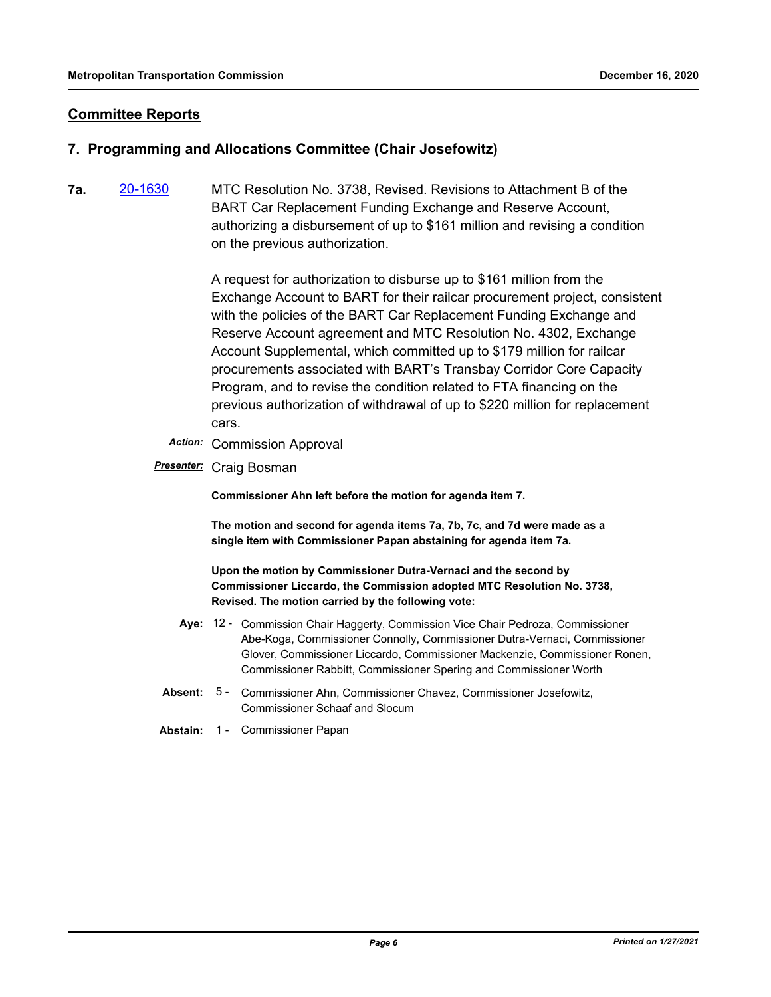## **Committee Reports**

### **7. Programming and Allocations Committee (Chair Josefowitz)**

**7a.** [20-1630](http://mtc.legistar.com/gateway.aspx?m=l&id=/matter.aspx?key=21495) MTC Resolution No. 3738, Revised. Revisions to Attachment B of the BART Car Replacement Funding Exchange and Reserve Account, authorizing a disbursement of up to \$161 million and revising a condition on the previous authorization.

> A request for authorization to disburse up to \$161 million from the Exchange Account to BART for their railcar procurement project, consistent with the policies of the BART Car Replacement Funding Exchange and Reserve Account agreement and MTC Resolution No. 4302, Exchange Account Supplemental, which committed up to \$179 million for railcar procurements associated with BART's Transbay Corridor Core Capacity Program, and to revise the condition related to FTA financing on the previous authorization of withdrawal of up to \$220 million for replacement cars.

- *Action:* Commission Approval
- *Presenter:* Craig Bosman

**Commissioner Ahn left before the motion for agenda item 7.**

**The motion and second for agenda items 7a, 7b, 7c, and 7d were made as a single item with Commissioner Papan abstaining for agenda item 7a.**

**Upon the motion by Commissioner Dutra-Vernaci and the second by Commissioner Liccardo, the Commission adopted MTC Resolution No. 3738, Revised. The motion carried by the following vote:**

- Aye: 12 Commission Chair Haggerty, Commission Vice Chair Pedroza, Commissioner Abe-Koga, Commissioner Connolly, Commissioner Dutra-Vernaci, Commissioner Glover, Commissioner Liccardo, Commissioner Mackenzie, Commissioner Ronen, Commissioner Rabbitt, Commissioner Spering and Commissioner Worth
- **Absent:** Commissioner Ahn, Commissioner Chavez, Commissioner Josefowitz, Commissioner Schaaf and Slocum Absent: 5 -
- **Abstain:** 1 Commissioner Papan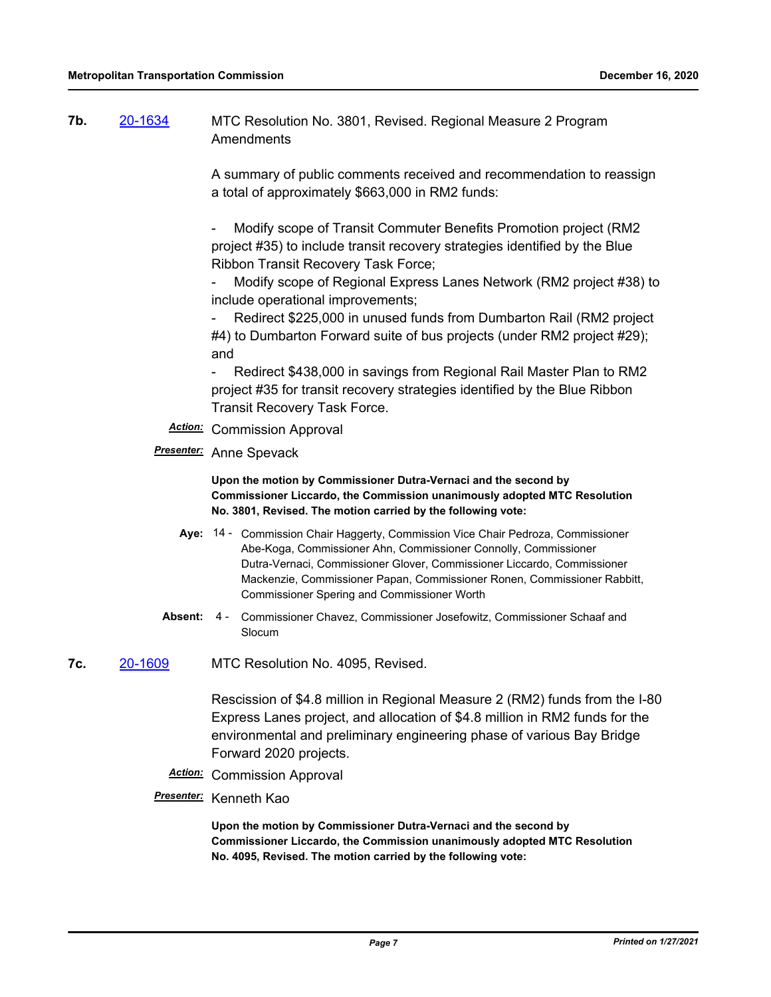**7b.** [20-1634](http://mtc.legistar.com/gateway.aspx?m=l&id=/matter.aspx?key=21499) MTC Resolution No. 3801, Revised. Regional Measure 2 Program **Amendments** 

> A summary of public comments received and recommendation to reassign a total of approximately \$663,000 in RM2 funds:

- Modify scope of Transit Commuter Benefits Promotion project (RM2 project #35) to include transit recovery strategies identified by the Blue Ribbon Transit Recovery Task Force;

- Modify scope of Regional Express Lanes Network (RM2 project #38) to include operational improvements;

Redirect \$225,000 in unused funds from Dumbarton Rail (RM2 project #4) to Dumbarton Forward suite of bus projects (under RM2 project #29); and

Redirect \$438,000 in savings from Regional Rail Master Plan to RM2 project #35 for transit recovery strategies identified by the Blue Ribbon Transit Recovery Task Force.

- *Action:* Commission Approval
- *Presenter:* Anne Spevack

**Upon the motion by Commissioner Dutra-Vernaci and the second by Commissioner Liccardo, the Commission unanimously adopted MTC Resolution No. 3801, Revised. The motion carried by the following vote:**

- Aye: 14 Commission Chair Haggerty, Commission Vice Chair Pedroza, Commissioner Abe-Koga, Commissioner Ahn, Commissioner Connolly, Commissioner Dutra-Vernaci, Commissioner Glover, Commissioner Liccardo, Commissioner Mackenzie, Commissioner Papan, Commissioner Ronen, Commissioner Rabbitt, Commissioner Spering and Commissioner Worth
- Absent: 4 Commissioner Chavez, Commissioner Josefowitz, Commissioner Schaaf and Slocum

**7c.** [20-1609](http://mtc.legistar.com/gateway.aspx?m=l&id=/matter.aspx?key=21474) MTC Resolution No. 4095, Revised.

Rescission of \$4.8 million in Regional Measure 2 (RM2) funds from the I-80 Express Lanes project, and allocation of \$4.8 million in RM2 funds for the environmental and preliminary engineering phase of various Bay Bridge Forward 2020 projects.

*Action:* Commission Approval

#### *Presenter:* Kenneth Kao

**Upon the motion by Commissioner Dutra-Vernaci and the second by Commissioner Liccardo, the Commission unanimously adopted MTC Resolution No. 4095, Revised. The motion carried by the following vote:**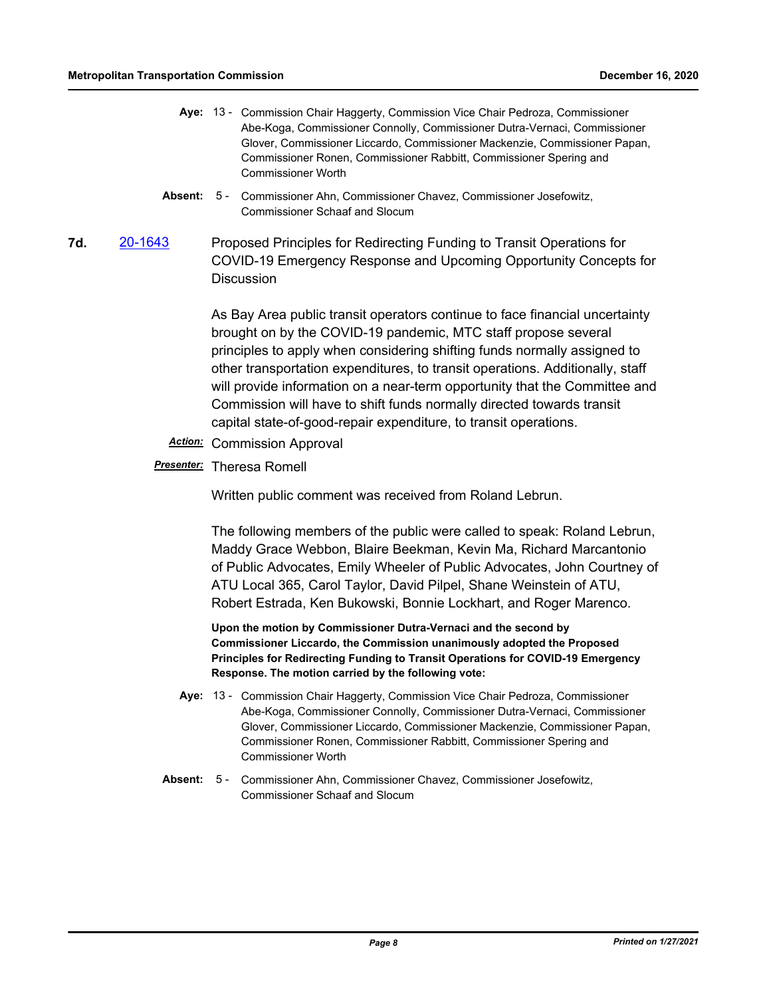- Aye: 13 Commission Chair Haggerty, Commission Vice Chair Pedroza, Commissioner Abe-Koga, Commissioner Connolly, Commissioner Dutra-Vernaci, Commissioner Glover, Commissioner Liccardo, Commissioner Mackenzie, Commissioner Papan, Commissioner Ronen, Commissioner Rabbitt, Commissioner Spering and Commissioner Worth
- Absent: 5 Commissioner Ahn, Commissioner Chavez, Commissioner Josefowitz, Commissioner Schaaf and Slocum
- **7d.** [20-1643](http://mtc.legistar.com/gateway.aspx?m=l&id=/matter.aspx?key=21508) Proposed Principles for Redirecting Funding to Transit Operations for COVID-19 Emergency Response and Upcoming Opportunity Concepts for **Discussion**

As Bay Area public transit operators continue to face financial uncertainty brought on by the COVID-19 pandemic, MTC staff propose several principles to apply when considering shifting funds normally assigned to other transportation expenditures, to transit operations. Additionally, staff will provide information on a near-term opportunity that the Committee and Commission will have to shift funds normally directed towards transit capital state-of-good-repair expenditure, to transit operations.

*Action:* Commission Approval

#### *Presenter:* Theresa Romell

Written public comment was received from Roland Lebrun.

The following members of the public were called to speak: Roland Lebrun, Maddy Grace Webbon, Blaire Beekman, Kevin Ma, Richard Marcantonio of Public Advocates, Emily Wheeler of Public Advocates, John Courtney of ATU Local 365, Carol Taylor, David Pilpel, Shane Weinstein of ATU, Robert Estrada, Ken Bukowski, Bonnie Lockhart, and Roger Marenco.

**Upon the motion by Commissioner Dutra-Vernaci and the second by Commissioner Liccardo, the Commission unanimously adopted the Proposed Principles for Redirecting Funding to Transit Operations for COVID-19 Emergency Response. The motion carried by the following vote:**

- Aye: 13 Commission Chair Haggerty, Commission Vice Chair Pedroza, Commissioner Abe-Koga, Commissioner Connolly, Commissioner Dutra-Vernaci, Commissioner Glover, Commissioner Liccardo, Commissioner Mackenzie, Commissioner Papan, Commissioner Ronen, Commissioner Rabbitt, Commissioner Spering and Commissioner Worth
- Absent: 5 Commissioner Ahn, Commissioner Chavez, Commissioner Josefowitz, Commissioner Schaaf and Slocum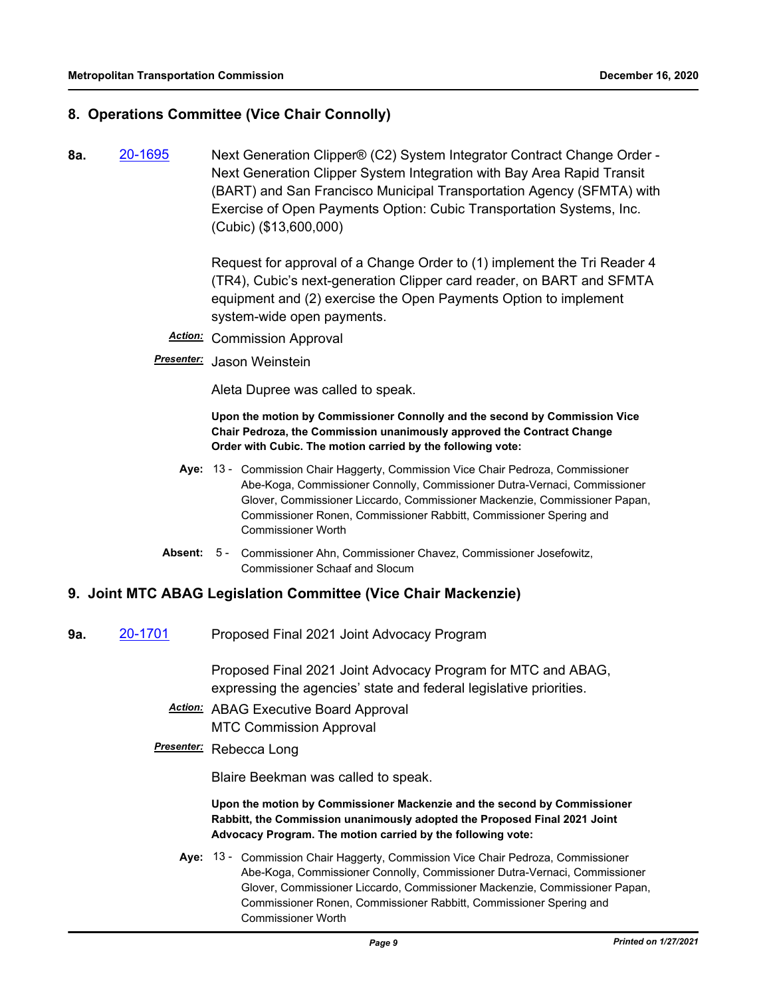## **8. Operations Committee (Vice Chair Connolly)**

**8a.** [20-1695](http://mtc.legistar.com/gateway.aspx?m=l&id=/matter.aspx?key=21560) Next Generation Clipper® (C2) System Integrator Contract Change Order - Next Generation Clipper System Integration with Bay Area Rapid Transit (BART) and San Francisco Municipal Transportation Agency (SFMTA) with Exercise of Open Payments Option: Cubic Transportation Systems, Inc. (Cubic) (\$13,600,000)

> Request for approval of a Change Order to (1) implement the Tri Reader 4 (TR4), Cubic's next-generation Clipper card reader, on BART and SFMTA equipment and (2) exercise the Open Payments Option to implement system-wide open payments.

- *Action:* Commission Approval
- *Presenter:* Jason Weinstein

Aleta Dupree was called to speak.

**Upon the motion by Commissioner Connolly and the second by Commission Vice Chair Pedroza, the Commission unanimously approved the Contract Change Order with Cubic. The motion carried by the following vote:**

- Aye: 13 Commission Chair Haggerty, Commission Vice Chair Pedroza, Commissioner Abe-Koga, Commissioner Connolly, Commissioner Dutra-Vernaci, Commissioner Glover, Commissioner Liccardo, Commissioner Mackenzie, Commissioner Papan, Commissioner Ronen, Commissioner Rabbitt, Commissioner Spering and Commissioner Worth
- Absent: 5 Commissioner Ahn, Commissioner Chavez, Commissioner Josefowitz, Commissioner Schaaf and Slocum

#### **9. Joint MTC ABAG Legislation Committee (Vice Chair Mackenzie)**

**9a.** [20-1701](http://mtc.legistar.com/gateway.aspx?m=l&id=/matter.aspx?key=21566) Proposed Final 2021 Joint Advocacy Program

Proposed Final 2021 Joint Advocacy Program for MTC and ABAG, expressing the agencies' state and federal legislative priorities.

*Action:* ABAG Executive Board Approval MTC Commission Approval

## *Presenter:* Rebecca Long

Blaire Beekman was called to speak.

**Upon the motion by Commissioner Mackenzie and the second by Commissioner Rabbitt, the Commission unanimously adopted the Proposed Final 2021 Joint Advocacy Program. The motion carried by the following vote:**

Aye: 13 - Commission Chair Haggerty, Commission Vice Chair Pedroza, Commissioner Abe-Koga, Commissioner Connolly, Commissioner Dutra-Vernaci, Commissioner Glover, Commissioner Liccardo, Commissioner Mackenzie, Commissioner Papan, Commissioner Ronen, Commissioner Rabbitt, Commissioner Spering and Commissioner Worth